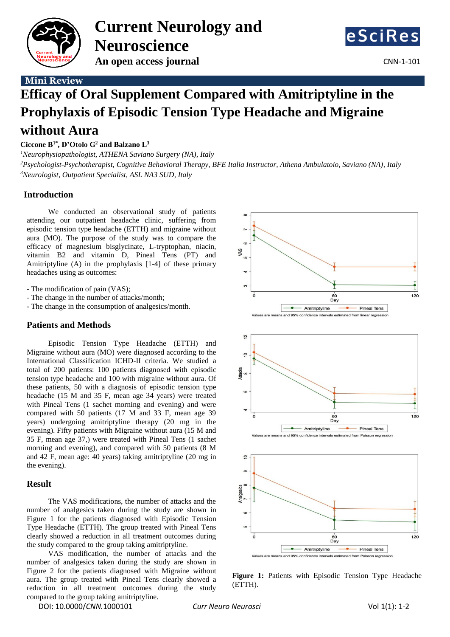

**Current Neurology and Neuroscience An open access journal CNN-1-101** 



# **Mini Review**

# **Efficay of Oral Supplement Compared with Amitriptyline in the Prophylaxis of Episodic Tension Type Headache and Migraine without Aura**

## **Ciccone B 1\* , D'Otolo G<sup>2</sup> and Balzano L 3**

*<sup>1</sup>Neurophysiopathologist, ATHENA Saviano Surgery (NA), Italy <sup>2</sup>Psychologist-Psychotherapist, Cognitive Behavioral Therapy, BFE Italia Instructor, Athena Ambulatoio, Saviano (NA), Italy <sup>3</sup>Neurologist, Outpatient Specialist, ASL NA3 SUD, Italy*

## **Introduction**

We conducted an observational study of patients attending our outpatient headache clinic, suffering from episodic tension type headache (ETTH) and migraine without aura (MO). The purpose of the study was to compare the efficacy of magnesium bisglycinate, L-tryptophan, niacin, vitamin B2 and vitamin D, Pineal Tens (PT) and Amitriptyline (A) in the prophylaxis [1-4] of these primary headaches using as outcomes:

- The modification of pain (VAS);
- The change in the number of attacks/month;
- The change in the consumption of analgesics/month.

## **Patients and Methods**

Episodic Tension Type Headache (ETTH) and Migraine without aura (MO) were diagnosed according to the International Classification ICHD-II criteria. We studied a total of 200 patients: 100 patients diagnosed with episodic tension type headache and 100 with migraine without aura. Of these patients, 50 with a diagnosis of episodic tension type headache (15 M and 35 F, mean age 34 years) were treated with Pineal Tens (1 sachet morning and evening) and were compared with 50 patients (17 M and 33 F, mean age 39 years) undergoing amitriptyline therapy (20 mg in the evening). Fifty patients with Migraine without aura (15 M and 35 F, mean age 37,) were treated with Pineal Tens (1 sachet morning and evening), and compared with 50 patients (8 M and 42 F, mean age: 40 years) taking amitriptyline (20 mg in the evening).

#### **Result**

The VAS modifications, the number of attacks and the number of analgesics taken during the study are shown in Figure 1 for the patients diagnosed with Episodic Tension Type Headache (ETTH). The group treated with Pineal Tens clearly showed a reduction in all treatment outcomes during the study compared to the group taking amitriptyline.

VAS modification, the number of attacks and the number of analgesics taken during the study are shown in Figure 2 for the patients diagnosed with Migraine without aura. The group treated with Pineal Tens clearly showed a reduction in all treatment outcomes during the study compared to the group taking amitriptyline.

DOI: 10.0000/*CNN.*1000101 *Curr Neuro Neurosci* Vol 1(1): 1-2







**Figure 1:** Patients with Episodic Tension Type Headache (ETTH).